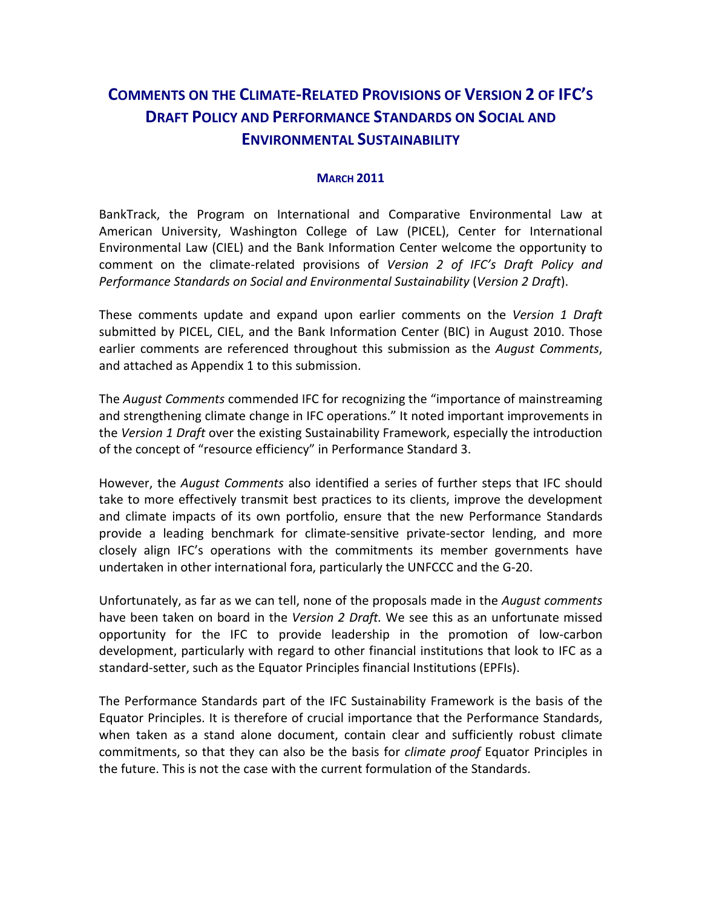# **COMMENTS ON THE CLIMATE-RELATED PROVISIONS OF VERSION 2 OF IFC'S DRAFT POLICY AND PERFORMANCE STANDARDS ON SOCIAL AND ENVIRONMENTAL SUSTAINABILITY**

#### **MARCH 2011**

BankTrack, the Program on International and Comparative Environmental Law at American University, Washington College of Law (PICEL), Center for International Environmental Law (CIEL) and the Bank Information Center welcome the opportunity to comment on the climate-related provisions of *Version 2 of IFC's Draft Policy and Performance Standards on Social and Environmental Sustainability* (*Version 2 Draft*).

These comments update and expand upon earlier comments on the *Version 1 Draft* submitted by PICEL, CIEL, and the Bank Information Center (BIC) in August 2010. Those earlier comments are referenced throughout this submission as the *August Comments*, and attached as Appendix 1 to this submission.

The *August Comments* commended IFC for recognizing the "importance of mainstreaming and strengthening climate change in IFC operations." It noted important improvements in the *Version 1 Draft* over the existing Sustainability Framework, especially the introduction of the concept of "resource efficiency" in Performance Standard 3.

However, the *August Comments* also identified a series of further steps that IFC should take to more effectively transmit best practices to its clients, improve the development and climate impacts of its own portfolio, ensure that the new Performance Standards provide a leading benchmark for climate-sensitive private-sector lending, and more closely align IFC's operations with the commitments its member governments have undertaken in other international fora, particularly the UNFCCC and the G-20.

Unfortunately, as far as we can tell, none of the proposals made in the *August comments* have been taken on board in the *Version 2 Draft.* We see this as an unfortunate missed opportunity for the IFC to provide leadership in the promotion of low-carbon development, particularly with regard to other financial institutions that look to IFC as a standard-setter, such as the Equator Principles financial Institutions (EPFIs).

The Performance Standards part of the IFC Sustainability Framework is the basis of the Equator Principles. It is therefore of crucial importance that the Performance Standards, when taken as a stand alone document, contain clear and sufficiently robust climate commitments, so that they can also be the basis for *climate proof* Equator Principles in the future. This is not the case with the current formulation of the Standards.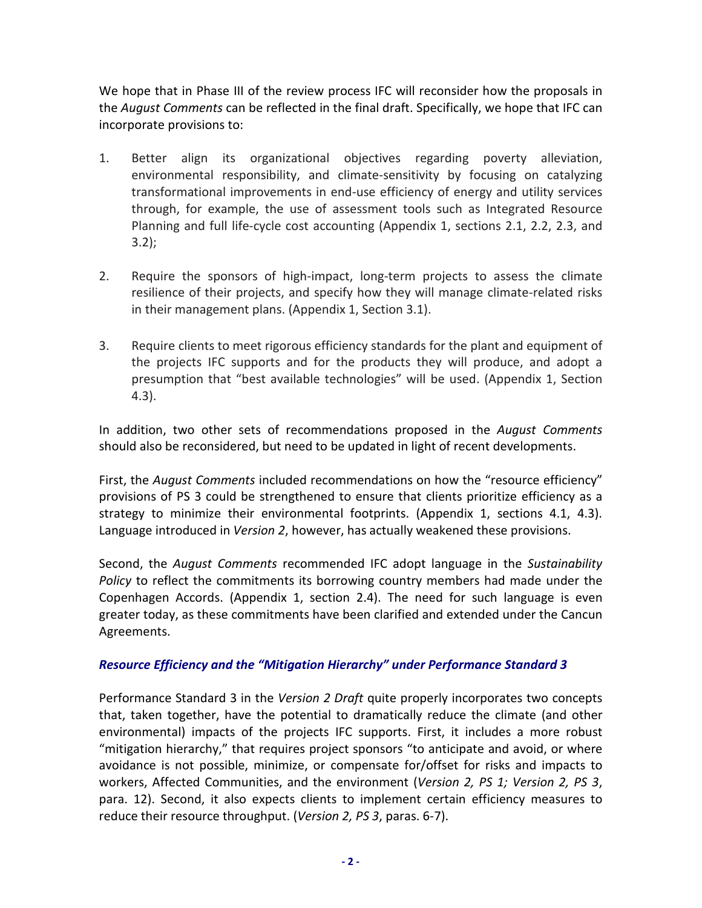We hope that in Phase III of the review process IFC will reconsider how the proposals in the *August Comments* can be reflected in the final draft. Specifically, we hope that IFC can incorporate provisions to:

- 1. Better align its organizational objectives regarding poverty alleviation, environmental responsibility, and climate-sensitivity by focusing on catalyzing transformational improvements in end-use efficiency of energy and utility services through, for example, the use of assessment tools such as Integrated Resource Planning and full life-cycle cost accounting (Appendix 1, sections 2.1, 2.2, 2.3, and 3.2);
- 2. Require the sponsors of high-impact, long-term projects to assess the climate resilience of their projects, and specify how they will manage climate-related risks in their management plans. (Appendix 1, Section 3.1).
- 3. Require clients to meet rigorous efficiency standards for the plant and equipment of the projects IFC supports and for the products they will produce, and adopt a presumption that "best available technologies" will be used. (Appendix 1, Section 4.3).

In addition, two other sets of recommendations proposed in the *August Comments*  should also be reconsidered, but need to be updated in light of recent developments.

First, the *August Comments* included recommendations on how the "resource efficiency" provisions of PS 3 could be strengthened to ensure that clients prioritize efficiency as a strategy to minimize their environmental footprints. (Appendix 1, sections 4.1, 4.3). Language introduced in *Version 2*, however, has actually weakened these provisions.

Second, the *August Comments* recommended IFC adopt language in the *Sustainability Policy* to reflect the commitments its borrowing country members had made under the Copenhagen Accords. (Appendix 1, section 2.4). The need for such language is even greater today, as these commitments have been clarified and extended under the Cancun Agreements.

### *Resource Efficiency and the "Mitigation Hierarchy" under Performance Standard 3*

Performance Standard 3 in the *Version 2 Draft* quite properly incorporates two concepts that, taken together, have the potential to dramatically reduce the climate (and other environmental) impacts of the projects IFC supports. First, it includes a more robust "mitigation hierarchy," that requires project sponsors "to anticipate and avoid, or where avoidance is not possible, minimize, or compensate for/offset for risks and impacts to workers, Affected Communities, and the environment (*Version 2, PS 1; Version 2, PS 3*, para. 12). Second, it also expects clients to implement certain efficiency measures to reduce their resource throughput. (*Version 2, PS 3*, paras. 6-7).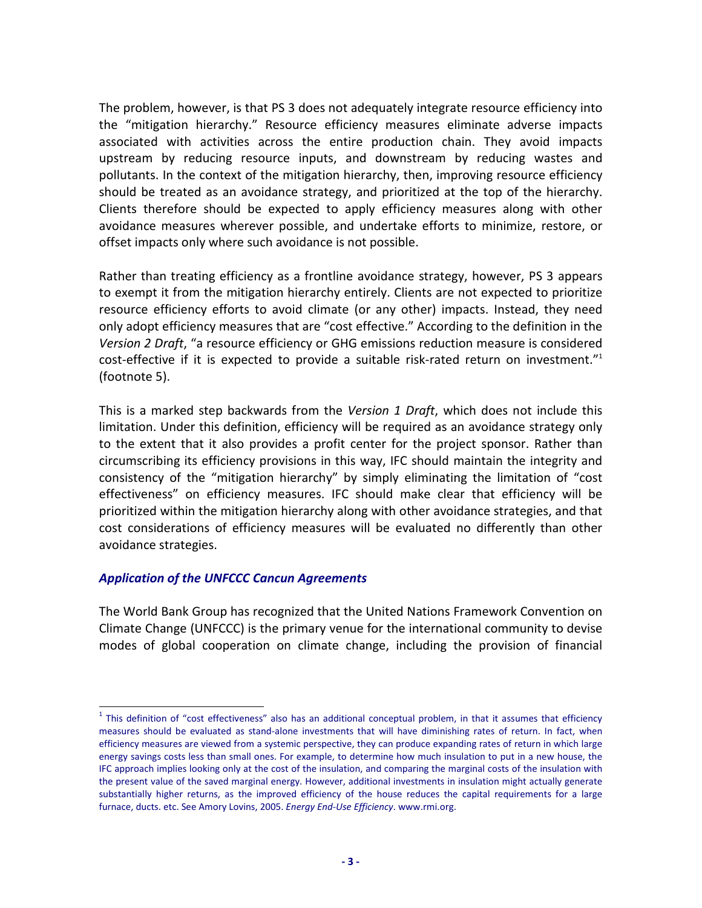The problem, however, is that PS 3 does not adequately integrate resource efficiency into the "mitigation hierarchy." Resource efficiency measures eliminate adverse impacts associated with activities across the entire production chain. They avoid impacts upstream by reducing resource inputs, and downstream by reducing wastes and pollutants. In the context of the mitigation hierarchy, then, improving resource efficiency should be treated as an avoidance strategy, and prioritized at the top of the hierarchy. Clients therefore should be expected to apply efficiency measures along with other avoidance measures wherever possible, and undertake efforts to minimize, restore, or offset impacts only where such avoidance is not possible.

Rather than treating efficiency as a frontline avoidance strategy, however, PS 3 appears to exempt it from the mitigation hierarchy entirely. Clients are not expected to prioritize resource efficiency efforts to avoid climate (or any other) impacts. Instead, they need only adopt efficiency measures that are "cost effective." According to the definition in the *Version 2 Draft*, "a resource efficiency or GHG emissions reduction measure is considered cost-effective if it is expected to provide a suitable risk-rated return on investment."<sup>1</sup> (footnote 5).

This is a marked step backwards from the *Version 1 Draft*, which does not include this limitation. Under this definition, efficiency will be required as an avoidance strategy only to the extent that it also provides a profit center for the project sponsor. Rather than circumscribing its efficiency provisions in this way, IFC should maintain the integrity and consistency of the "mitigation hierarchy" by simply eliminating the limitation of "cost effectiveness" on efficiency measures. IFC should make clear that efficiency will be prioritized within the mitigation hierarchy along with other avoidance strategies, and that cost considerations of efficiency measures will be evaluated no differently than other avoidance strategies.

#### *Application of the UNFCCC Cancun Agreements*

l

The World Bank Group has recognized that the United Nations Framework Convention on Climate Change (UNFCCC) is the primary venue for the international community to devise modes of global cooperation on climate change, including the provision of financial

 $<sup>1</sup>$  This definition of "cost effectiveness" also has an additional conceptual problem, in that it assumes that efficiency</sup> measures should be evaluated as stand-alone investments that will have diminishing rates of return. In fact, when efficiency measures are viewed from a systemic perspective, they can produce expanding rates of return in which large energy savings costs less than small ones. For example, to determine how much insulation to put in a new house, the IFC approach implies looking only at the cost of the insulation, and comparing the marginal costs of the insulation with the present value of the saved marginal energy. However, additional investments in insulation might actually generate substantially higher returns, as the improved efficiency of the house reduces the capital requirements for a large furnace, ducts. etc. See Amory Lovins, 2005. *Energy End-Use Efficiency*. www.rmi.org.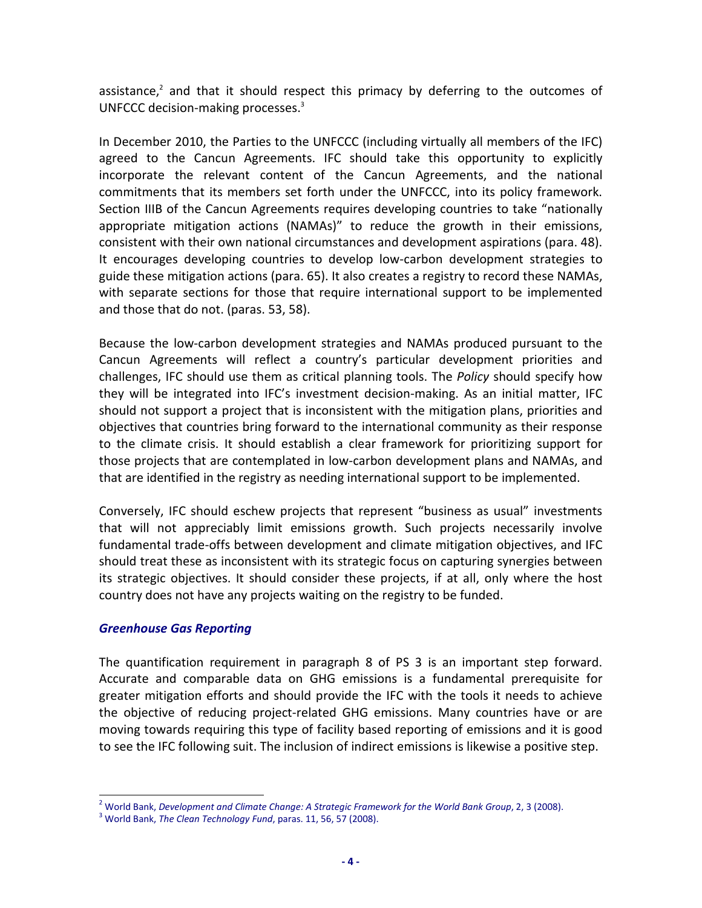assistance, $2$  and that it should respect this primacy by deferring to the outcomes of UNFCCC decision-making processes.<sup>3</sup>

In December 2010, the Parties to the UNFCCC (including virtually all members of the IFC) agreed to the Cancun Agreements. IFC should take this opportunity to explicitly incorporate the relevant content of the Cancun Agreements, and the national commitments that its members set forth under the UNFCCC, into its policy framework. Section IIIB of the Cancun Agreements requires developing countries to take "nationally appropriate mitigation actions (NAMAs)" to reduce the growth in their emissions, consistent with their own national circumstances and development aspirations (para. 48). It encourages developing countries to develop low-carbon development strategies to guide these mitigation actions (para. 65). It also creates a registry to record these NAMAs, with separate sections for those that require international support to be implemented and those that do not. (paras. 53, 58).

Because the low-carbon development strategies and NAMAs produced pursuant to the Cancun Agreements will reflect a country's particular development priorities and challenges, IFC should use them as critical planning tools. The *Policy* should specify how they will be integrated into IFC's investment decision-making. As an initial matter, IFC should not support a project that is inconsistent with the mitigation plans, priorities and objectives that countries bring forward to the international community as their response to the climate crisis. It should establish a clear framework for prioritizing support for those projects that are contemplated in low-carbon development plans and NAMAs, and that are identified in the registry as needing international support to be implemented.

Conversely, IFC should eschew projects that represent "business as usual" investments that will not appreciably limit emissions growth. Such projects necessarily involve fundamental trade-offs between development and climate mitigation objectives, and IFC should treat these as inconsistent with its strategic focus on capturing synergies between its strategic objectives. It should consider these projects, if at all, only where the host country does not have any projects waiting on the registry to be funded.

#### *Greenhouse Gas Reporting*

The quantification requirement in paragraph 8 of PS 3 is an important step forward. Accurate and comparable data on GHG emissions is a fundamental prerequisite for greater mitigation efforts and should provide the IFC with the tools it needs to achieve the objective of reducing project-related GHG emissions. Many countries have or are moving towards requiring this type of facility based reporting of emissions and it is good to see the IFC following suit. The inclusion of indirect emissions is likewise a positive step.

 2 World Bank, *Development and Climate Change: A Strategic Framework for the World Bank Group*, 2, 3 (2008).

<sup>3</sup> World Bank, *The Clean Technology Fund*, paras. 11, 56, 57 (2008).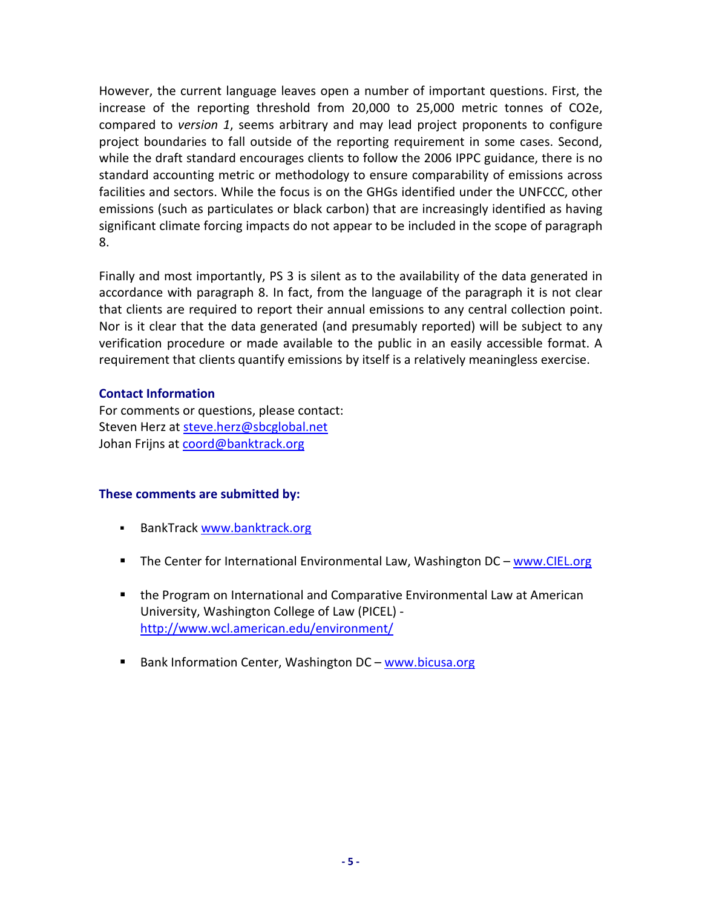However, the current language leaves open a number of important questions. First, the increase of the reporting threshold from 20,000 to 25,000 metric tonnes of CO2e, compared to *version 1*, seems arbitrary and may lead project proponents to configure project boundaries to fall outside of the reporting requirement in some cases. Second, while the draft standard encourages clients to follow the 2006 IPPC guidance, there is no standard accounting metric or methodology to ensure comparability of emissions across facilities and sectors. While the focus is on the GHGs identified under the UNFCCC, other emissions (such as particulates or black carbon) that are increasingly identified as having significant climate forcing impacts do not appear to be included in the scope of paragraph 8.

Finally and most importantly, PS 3 is silent as to the availability of the data generated in accordance with paragraph 8. In fact, from the language of the paragraph it is not clear that clients are required to report their annual emissions to any central collection point. Nor is it clear that the data generated (and presumably reported) will be subject to any verification procedure or made available to the public in an easily accessible format. A requirement that clients quantify emissions by itself is a relatively meaningless exercise.

#### **Contact Information**

For comments or questions, please contact: Steven Herz at steve.herz@sbcglobal.net Johan Frijns at coord@banktrack.org

### **These comments are submitted by:**

- BankTrack www.banktrack.org
- The Center for International Environmental Law, Washington DC www.CIEL.org
- **the Program on International and Comparative Environmental Law at American** University, Washington College of Law (PICEL) http://www.wcl.american.edu/environment/
- Bank Information Center, Washington DC www.bicusa.org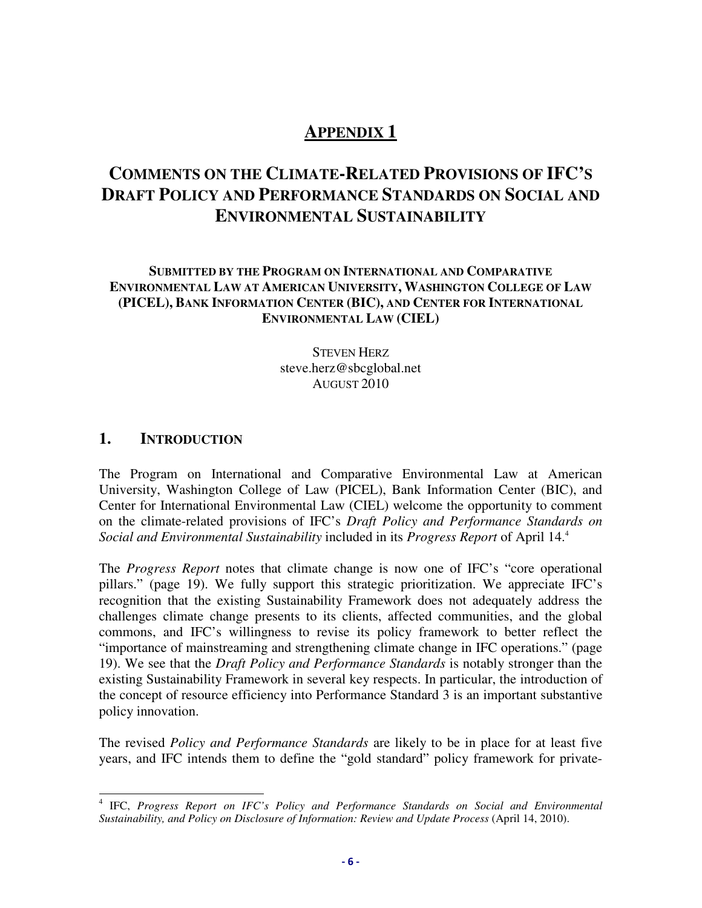# **APPENDIX 1**

# **COMMENTS ON THE CLIMATE-RELATED PROVISIONS OF IFC'S DRAFT POLICY AND PERFORMANCE STANDARDS ON SOCIAL AND ENVIRONMENTAL SUSTAINABILITY**

### **SUBMITTED BY THE PROGRAM ON INTERNATIONAL AND COMPARATIVE ENVIRONMENTAL LAW AT AMERICAN UNIVERSITY, WASHINGTON COLLEGE OF LAW (PICEL), BANK INFORMATION CENTER (BIC), AND CENTER FOR INTERNATIONAL ENVIRONMENTAL LAW (CIEL)**

STEVEN HERZ steve.herz@sbcglobal.net AUGUST 2010

### **1. INTRODUCTION**

The Program on International and Comparative Environmental Law at American University, Washington College of Law (PICEL), Bank Information Center (BIC), and Center for International Environmental Law (CIEL) welcome the opportunity to comment on the climate-related provisions of IFC's *Draft Policy and Performance Standards on Social and Environmental Sustainability* included in its *Progress Report* of April 14.<sup>4</sup>

The *Progress Report* notes that climate change is now one of IFC's "core operational pillars." (page 19). We fully support this strategic prioritization. We appreciate IFC's recognition that the existing Sustainability Framework does not adequately address the challenges climate change presents to its clients, affected communities, and the global commons, and IFC's willingness to revise its policy framework to better reflect the "importance of mainstreaming and strengthening climate change in IFC operations." (page 19). We see that the *Draft Policy and Performance Standards* is notably stronger than the existing Sustainability Framework in several key respects. In particular, the introduction of the concept of resource efficiency into Performance Standard 3 is an important substantive policy innovation.

The revised *Policy and Performance Standards* are likely to be in place for at least five years, and IFC intends them to define the "gold standard" policy framework for private-

 4 IFC, *Progress Report on IFC's Policy and Performance Standards on Social and Environmental Sustainability, and Policy on Disclosure of Information: Review and Update Process* (April 14, 2010).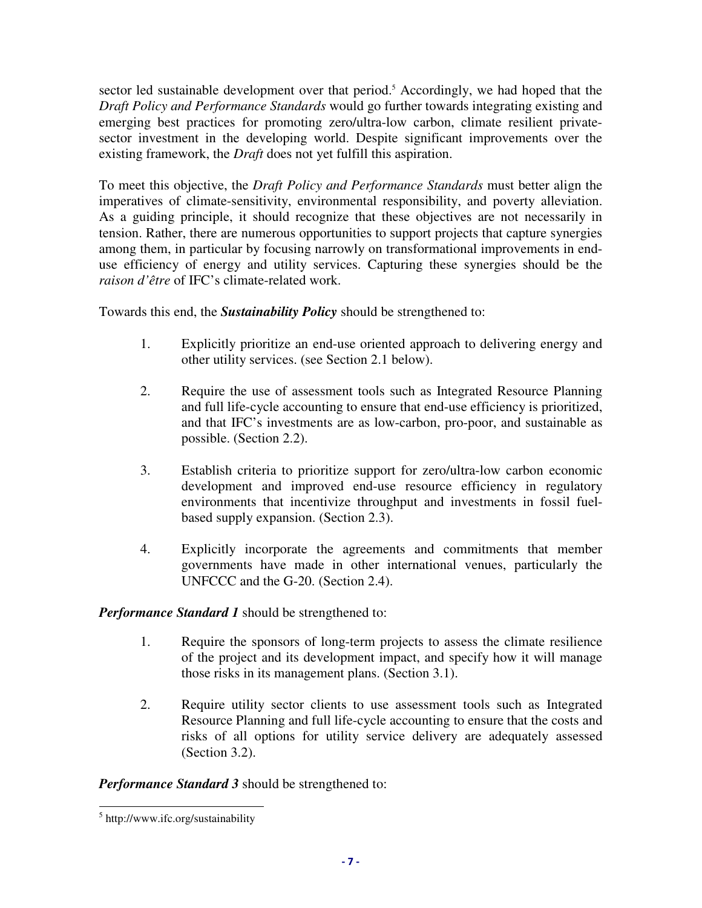sector led sustainable development over that period.<sup>5</sup> Accordingly, we had hoped that the *Draft Policy and Performance Standards* would go further towards integrating existing and emerging best practices for promoting zero/ultra-low carbon, climate resilient privatesector investment in the developing world. Despite significant improvements over the existing framework, the *Draft* does not yet fulfill this aspiration.

To meet this objective, the *Draft Policy and Performance Standards* must better align the imperatives of climate-sensitivity, environmental responsibility, and poverty alleviation. As a guiding principle, it should recognize that these objectives are not necessarily in tension. Rather, there are numerous opportunities to support projects that capture synergies among them, in particular by focusing narrowly on transformational improvements in enduse efficiency of energy and utility services. Capturing these synergies should be the *raison d'être* of IFC's climate-related work.

Towards this end, the *Sustainability Policy* should be strengthened to:

- 1. Explicitly prioritize an end-use oriented approach to delivering energy and other utility services. (see Section 2.1 below).
- 2. Require the use of assessment tools such as Integrated Resource Planning and full life-cycle accounting to ensure that end-use efficiency is prioritized, and that IFC's investments are as low-carbon, pro-poor, and sustainable as possible. (Section 2.2).
- 3. Establish criteria to prioritize support for zero/ultra-low carbon economic development and improved end-use resource efficiency in regulatory environments that incentivize throughput and investments in fossil fuelbased supply expansion. (Section 2.3).
- 4. Explicitly incorporate the agreements and commitments that member governments have made in other international venues, particularly the UNFCCC and the G-20. (Section 2.4).

*Performance Standard 1* should be strengthened to:

- 1. Require the sponsors of long-term projects to assess the climate resilience of the project and its development impact, and specify how it will manage those risks in its management plans. (Section 3.1).
- 2. Require utility sector clients to use assessment tools such as Integrated Resource Planning and full life-cycle accounting to ensure that the costs and risks of all options for utility service delivery are adequately assessed (Section 3.2).

*Performance Standard 3* should be strengthened to:

<sup>&</sup>lt;sup>5</sup> http://www.ifc.org/sustainability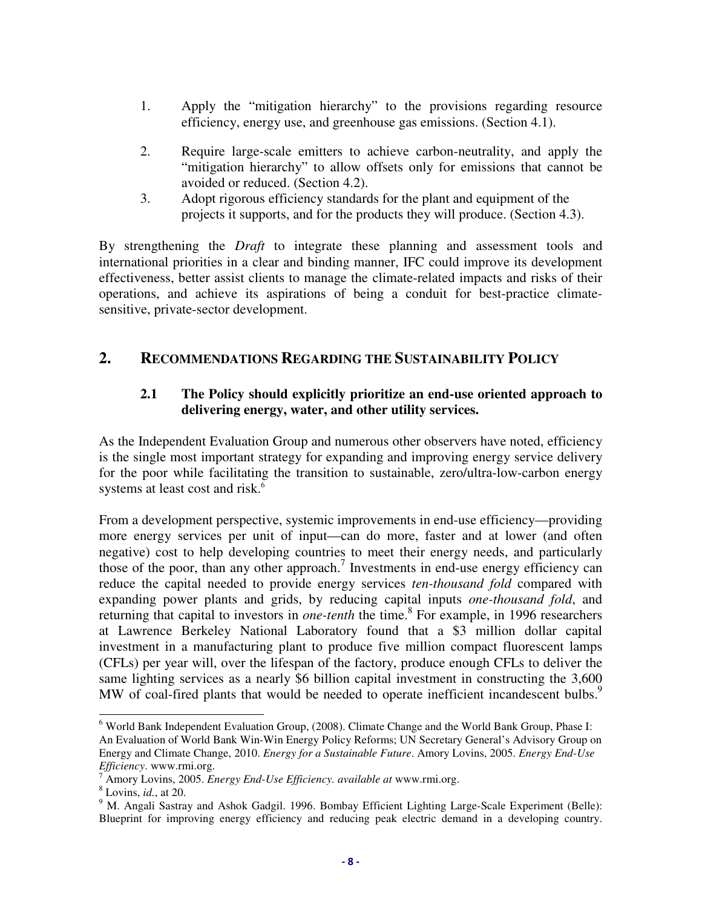- 1. Apply the "mitigation hierarchy" to the provisions regarding resource efficiency, energy use, and greenhouse gas emissions. (Section 4.1).
- 2. Require large-scale emitters to achieve carbon-neutrality, and apply the "mitigation hierarchy" to allow offsets only for emissions that cannot be avoided or reduced. (Section 4.2).
- 3. Adopt rigorous efficiency standards for the plant and equipment of the projects it supports, and for the products they will produce. (Section 4.3).

By strengthening the *Draft* to integrate these planning and assessment tools and international priorities in a clear and binding manner, IFC could improve its development effectiveness, better assist clients to manage the climate-related impacts and risks of their operations, and achieve its aspirations of being a conduit for best-practice climatesensitive, private-sector development.

## **2. RECOMMENDATIONS REGARDING THE SUSTAINABILITY POLICY**

### **2.1 The Policy should explicitly prioritize an end-use oriented approach to delivering energy, water, and other utility services.**

As the Independent Evaluation Group and numerous other observers have noted, efficiency is the single most important strategy for expanding and improving energy service delivery for the poor while facilitating the transition to sustainable, zero/ultra-low-carbon energy systems at least cost and risk.<sup>6</sup>

From a development perspective, systemic improvements in end-use efficiency—providing more energy services per unit of input—can do more, faster and at lower (and often negative) cost to help developing countries to meet their energy needs, and particularly those of the poor, than any other approach.<sup>7</sup> Investments in end-use energy efficiency can reduce the capital needed to provide energy services *ten-thousand fold* compared with expanding power plants and grids, by reducing capital inputs *one-thousand fold*, and returning that capital to investors in *one-tenth* the time.<sup>8</sup> For example, in 1996 researchers at Lawrence Berkeley National Laboratory found that a \$3 million dollar capital investment in a manufacturing plant to produce five million compact fluorescent lamps (CFLs) per year will, over the lifespan of the factory, produce enough CFLs to deliver the same lighting services as a nearly \$6 billion capital investment in constructing the 3,600 MW of coal-fired plants that would be needed to operate inefficient incandescent bulbs.<sup>9</sup>

<sup>&</sup>lt;sup>6</sup> World Bank Independent Evaluation Group, (2008). Climate Change and the World Bank Group, Phase I: An Evaluation of World Bank Win-Win Energy Policy Reforms; UN Secretary General's Advisory Group on Energy and Climate Change, 2010. *Energy for a Sustainable Future*. Amory Lovins, 2005. *Energy End-Use Efficiency*. www.rmi.org.

<sup>7</sup> Amory Lovins, 2005. *Energy End-Use Efficiency. available at* www.rmi.org.

<sup>8</sup> Lovins, *id.*, at 20.

<sup>&</sup>lt;sup>9</sup> M. Angali Sastray and Ashok Gadgil. 1996. Bombay Efficient Lighting Large-Scale Experiment (Belle): Blueprint for improving energy efficiency and reducing peak electric demand in a developing country.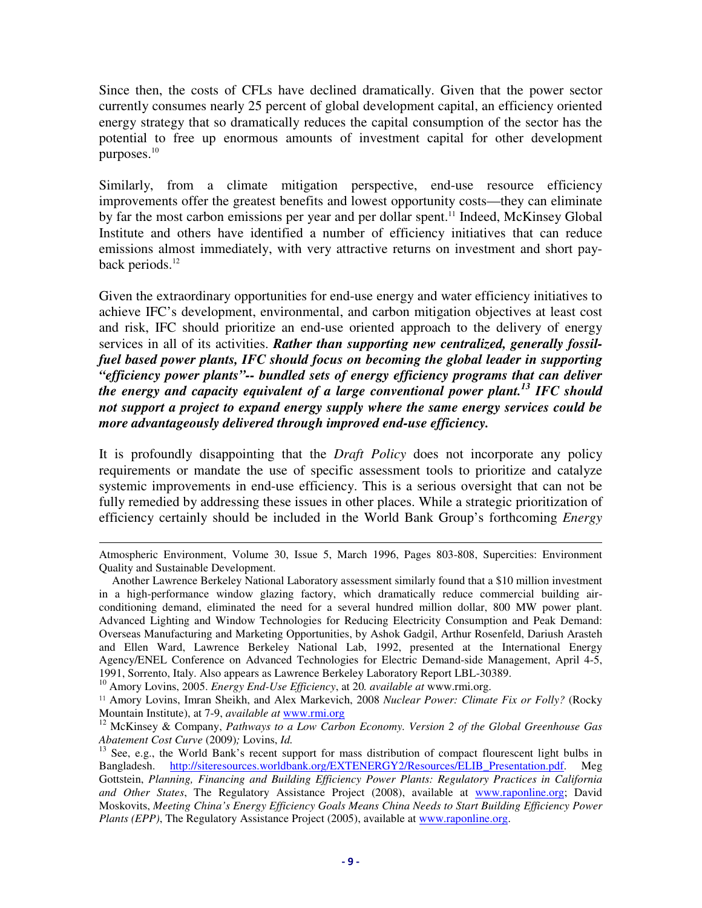Since then, the costs of CFLs have declined dramatically. Given that the power sector currently consumes nearly 25 percent of global development capital, an efficiency oriented energy strategy that so dramatically reduces the capital consumption of the sector has the potential to free up enormous amounts of investment capital for other development purposes.<sup>10</sup>

Similarly, from a climate mitigation perspective, end-use resource efficiency improvements offer the greatest benefits and lowest opportunity costs—they can eliminate by far the most carbon emissions per year and per dollar spent.<sup>11</sup> Indeed, McKinsey Global Institute and others have identified a number of efficiency initiatives that can reduce emissions almost immediately, with very attractive returns on investment and short payback periods.<sup>12</sup>

Given the extraordinary opportunities for end-use energy and water efficiency initiatives to achieve IFC's development, environmental, and carbon mitigation objectives at least cost and risk, IFC should prioritize an end-use oriented approach to the delivery of energy services in all of its activities. *Rather than supporting new centralized, generally fossilfuel based power plants, IFC should focus on becoming the global leader in supporting "efficiency power plants"-- bundled sets of energy efficiency programs that can deliver the energy and capacity equivalent of a large conventional power plant.<sup>13</sup> IFC should not support a project to expand energy supply where the same energy services could be more advantageously delivered through improved end-use efficiency.*

It is profoundly disappointing that the *Draft Policy* does not incorporate any policy requirements or mandate the use of specific assessment tools to prioritize and catalyze systemic improvements in end-use efficiency. This is a serious oversight that can not be fully remedied by addressing these issues in other places. While a strategic prioritization of efficiency certainly should be included in the World Bank Group's forthcoming *Energy* 

-

Atmospheric Environment, Volume 30, Issue 5, March 1996, Pages 803-808, Supercities: Environment Quality and Sustainable Development.

Another Lawrence Berkeley National Laboratory assessment similarly found that a \$10 million investment in a high-performance window glazing factory, which dramatically reduce commercial building airconditioning demand, eliminated the need for a several hundred million dollar, 800 MW power plant. Advanced Lighting and Window Technologies for Reducing Electricity Consumption and Peak Demand: Overseas Manufacturing and Marketing Opportunities, by Ashok Gadgil, Arthur Rosenfeld, Dariush Arasteh and Ellen Ward, Lawrence Berkeley National Lab, 1992, presented at the International Energy Agency/ENEL Conference on Advanced Technologies for Electric Demand-side Management, April 4-5, 1991, Sorrento, Italy. Also appears as Lawrence Berkeley Laboratory Report LBL-30389.

<sup>10</sup> Amory Lovins, 2005. *Energy End-Use Efficiency*, at 20*. available at* www.rmi.org.

<sup>11</sup> Amory Lovins, Imran Sheikh, and Alex Markevich, 2008 *Nuclear Power: Climate Fix or Folly?* (Rocky Mountain Institute), at 7-9, *available at* www.rmi.org

<sup>12</sup> McKinsey & Company, *Pathways to a Low Carbon Economy. Version 2 of the Global Greenhouse Gas Abatement Cost Curve* (2009)*;* Lovins, *Id.* 

<sup>&</sup>lt;sup>13</sup> See, e.g., the World Bank's recent support for mass distribution of compact flourescent light bulbs in Bangladesh. http://siteresources.worldbank.org/EXTENERGY2/Resources/ELIB\_Presentation.pdf. Meg Gottstein, *Planning, Financing and Building Efficiency Power Plants: Regulatory Practices in California and Other States*, The Regulatory Assistance Project (2008), available at www.raponline.org; David Moskovits, *Meeting China's Energy Efficiency Goals Means China Needs to Start Building Efficiency Power Plants (EPP)*, The Regulatory Assistance Project (2005), available at www.raponline.org.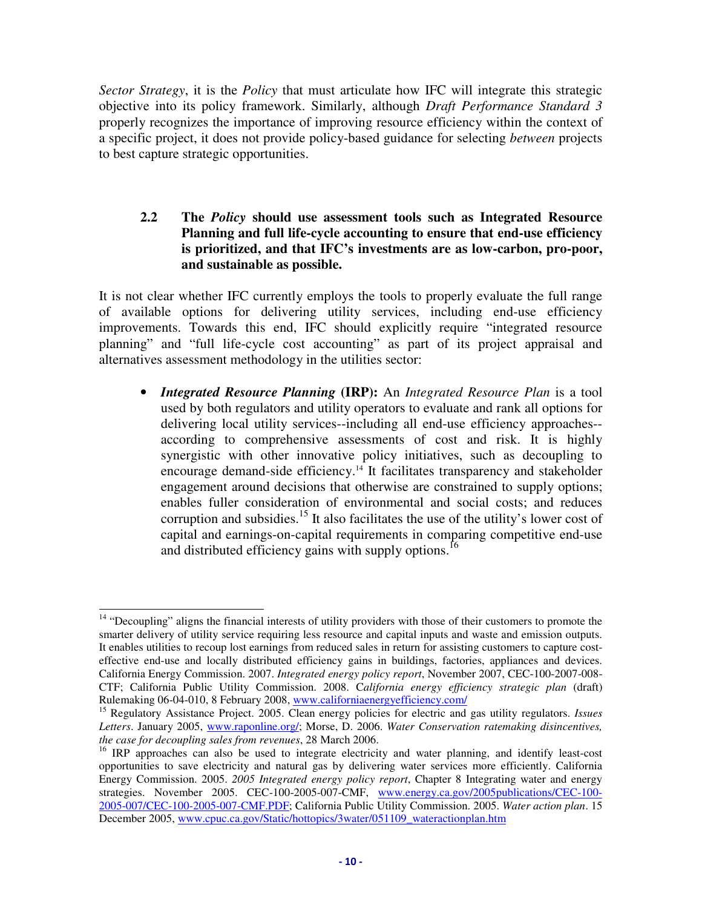*Sector Strategy*, it is the *Policy* that must articulate how IFC will integrate this strategic objective into its policy framework. Similarly, although *Draft Performance Standard 3* properly recognizes the importance of improving resource efficiency within the context of a specific project, it does not provide policy-based guidance for selecting *between* projects to best capture strategic opportunities.

#### **2.2 The** *Policy* **should use assessment tools such as Integrated Resource Planning and full life-cycle accounting to ensure that end-use efficiency is prioritized, and that IFC's investments are as low-carbon, pro-poor, and sustainable as possible.**

It is not clear whether IFC currently employs the tools to properly evaluate the full range of available options for delivering utility services, including end-use efficiency improvements. Towards this end, IFC should explicitly require "integrated resource planning" and "full life-cycle cost accounting" as part of its project appraisal and alternatives assessment methodology in the utilities sector:

• *Integrated Resource Planning* **(IRP):** An *Integrated Resource Plan* is a tool used by both regulators and utility operators to evaluate and rank all options for delivering local utility services--including all end-use efficiency approaches- according to comprehensive assessments of cost and risk. It is highly synergistic with other innovative policy initiatives, such as decoupling to encourage demand-side efficiency.<sup>14</sup> It facilitates transparency and stakeholder engagement around decisions that otherwise are constrained to supply options; enables fuller consideration of environmental and social costs; and reduces corruption and subsidies.<sup>15</sup> It also facilitates the use of the utility's lower cost of capital and earnings-on-capital requirements in comparing competitive end-use and distributed efficiency gains with supply options.<sup>16</sup>

l <sup>14</sup> "Decoupling" aligns the financial interests of utility providers with those of their customers to promote the smarter delivery of utility service requiring less resource and capital inputs and waste and emission outputs. It enables utilities to recoup lost earnings from reduced sales in return for assisting customers to capture costeffective end-use and locally distributed efficiency gains in buildings, factories, appliances and devices. California Energy Commission. 2007. *Integrated energy policy report*, November 2007, CEC-100-2007-008- CTF; California Public Utility Commission. 2008. C*alifornia energy efficiency strategic plan* (draft) Rulemaking 06-04-010, 8 February 2008, www.californiaenergyefficiency.com/

<sup>15</sup> Regulatory Assistance Project. 2005. Clean energy policies for electric and gas utility regulators. *Issues Letters*. January 2005, www.raponline.org/; Morse, D. 2006. *Water Conservation ratemaking disincentives, the case for decoupling sales from revenues*, 28 March 2006.

<sup>&</sup>lt;sup>16</sup> IRP approaches can also be used to integrate electricity and water planning, and identify least-cost opportunities to save electricity and natural gas by delivering water services more efficiently. California Energy Commission. 2005. *2005 Integrated energy policy report*, Chapter 8 Integrating water and energy strategies. November 2005. CEC-100-2005-007-CMF, www.energy.ca.gov/2005publications/CEC-100- 2005-007/CEC-100-2005-007-CMF.PDF; California Public Utility Commission. 2005. *Water action plan*. 15 December 2005, www.cpuc.ca.gov/Static/hottopics/3water/051109\_wateractionplan.htm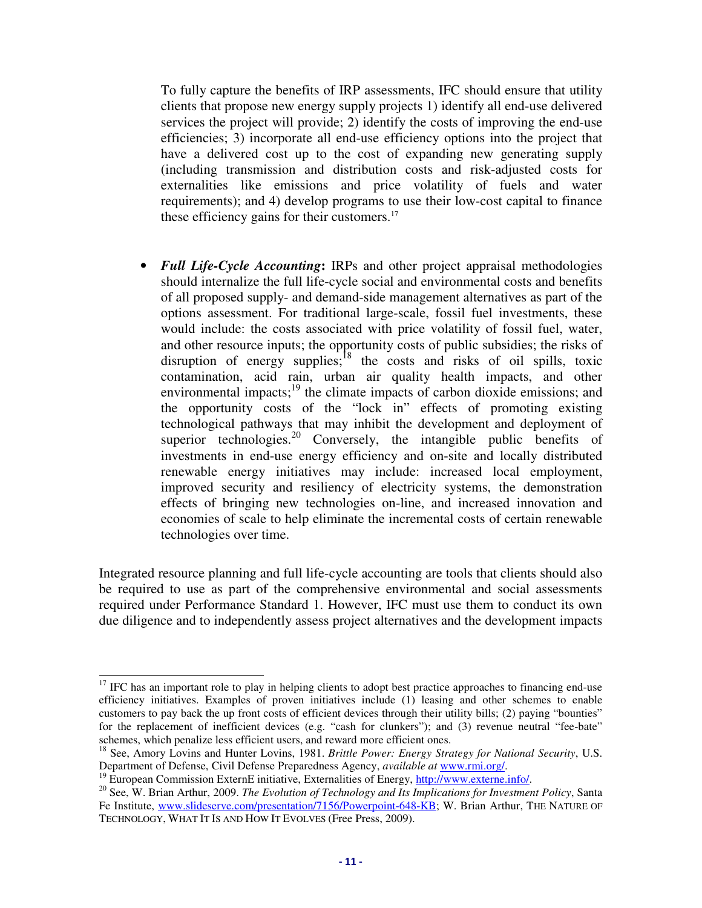To fully capture the benefits of IRP assessments, IFC should ensure that utility clients that propose new energy supply projects 1) identify all end-use delivered services the project will provide; 2) identify the costs of improving the end-use efficiencies; 3) incorporate all end-use efficiency options into the project that have a delivered cost up to the cost of expanding new generating supply (including transmission and distribution costs and risk-adjusted costs for externalities like emissions and price volatility of fuels and water requirements); and 4) develop programs to use their low-cost capital to finance these efficiency gains for their customers.<sup>17</sup>

• *Full Life-Cycle Accounting***:** IRPs and other project appraisal methodologies should internalize the full life-cycle social and environmental costs and benefits of all proposed supply- and demand-side management alternatives as part of the options assessment. For traditional large-scale, fossil fuel investments, these would include: the costs associated with price volatility of fossil fuel, water, and other resource inputs; the opportunity costs of public subsidies; the risks of disruption of energy supplies; $^{18}$  the costs and risks of oil spills, toxic contamination, acid rain, urban air quality health impacts, and other environmental impacts; $19$  the climate impacts of carbon dioxide emissions; and the opportunity costs of the "lock in" effects of promoting existing technological pathways that may inhibit the development and deployment of superior technologies.<sup>20</sup> Conversely, the intangible public benefits of investments in end-use energy efficiency and on-site and locally distributed renewable energy initiatives may include: increased local employment, improved security and resiliency of electricity systems, the demonstration effects of bringing new technologies on-line, and increased innovation and economies of scale to help eliminate the incremental costs of certain renewable technologies over time.

Integrated resource planning and full life-cycle accounting are tools that clients should also be required to use as part of the comprehensive environmental and social assessments required under Performance Standard 1. However, IFC must use them to conduct its own due diligence and to independently assess project alternatives and the development impacts

-

 $17$  IFC has an important role to play in helping clients to adopt best practice approaches to financing end-use efficiency initiatives. Examples of proven initiatives include (1) leasing and other schemes to enable customers to pay back the up front costs of efficient devices through their utility bills; (2) paying "bounties" for the replacement of inefficient devices (e.g. "cash for clunkers"); and (3) revenue neutral "fee-bate" schemes, which penalize less efficient users, and reward more efficient ones.

<sup>18</sup> See, Amory Lovins and Hunter Lovins, 1981. *Brittle Power: Energy Strategy for National Security*, U.S. Department of Defense, Civil Defense Preparedness Agency, *available at* www.rmi.org/.

<sup>&</sup>lt;sup>19</sup> European Commission ExternE initiative, Externalities of Energy,  $\frac{http://www.externe.info/}{http://www.externe.info/}.$ 

<sup>&</sup>lt;sup>20</sup> See, W. Brian Arthur, 2009. *The Evolution of Technology and Its Implications for Investment Policy*, Santa Fe Institute, www.slideserve.com/presentation/7156/Powerpoint-648-KB; W. Brian Arthur, THE NATURE OF TECHNOLOGY, WHAT IT IS AND HOW IT EVOLVES (Free Press, 2009).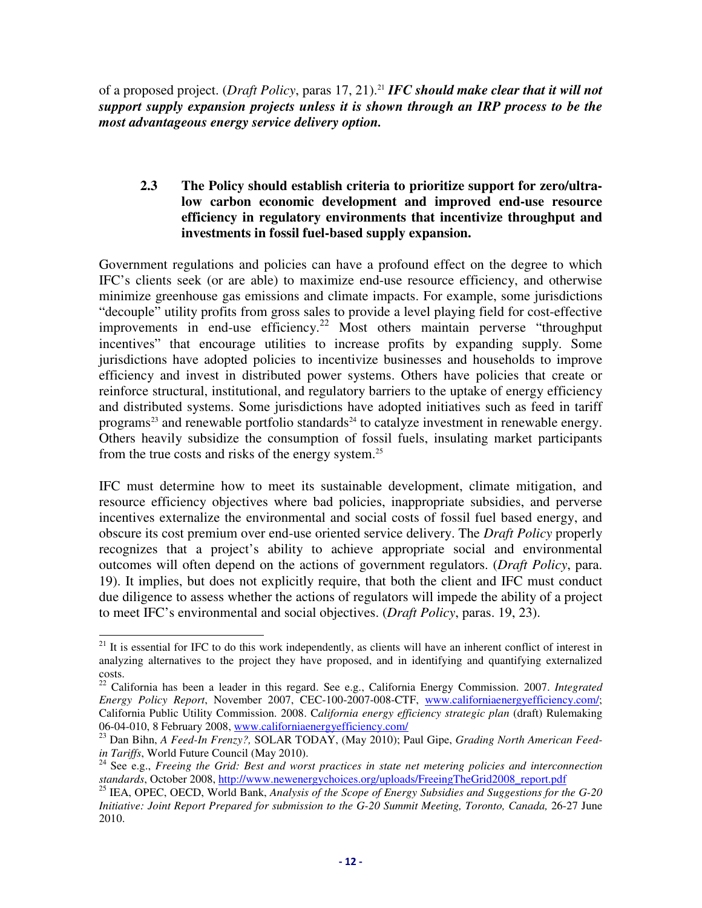of a proposed project. (*Draft Policy*, paras 17, 21).<sup>21</sup> *IFC should make clear that it will not support supply expansion projects unless it is shown through an IRP process to be the most advantageous energy service delivery option.*

#### **2.3 The Policy should establish criteria to prioritize support for zero/ultralow carbon economic development and improved end-use resource efficiency in regulatory environments that incentivize throughput and investments in fossil fuel-based supply expansion.**

Government regulations and policies can have a profound effect on the degree to which IFC's clients seek (or are able) to maximize end-use resource efficiency, and otherwise minimize greenhouse gas emissions and climate impacts. For example, some jurisdictions "decouple" utility profits from gross sales to provide a level playing field for cost-effective improvements in end-use efficiency.<sup>22</sup> Most others maintain perverse "throughput incentives" that encourage utilities to increase profits by expanding supply. Some jurisdictions have adopted policies to incentivize businesses and households to improve efficiency and invest in distributed power systems. Others have policies that create or reinforce structural, institutional, and regulatory barriers to the uptake of energy efficiency and distributed systems. Some jurisdictions have adopted initiatives such as feed in tariff programs<sup>23</sup> and renewable portfolio standards<sup>24</sup> to catalyze investment in renewable energy. Others heavily subsidize the consumption of fossil fuels, insulating market participants from the true costs and risks of the energy system.<sup>25</sup>

IFC must determine how to meet its sustainable development, climate mitigation, and resource efficiency objectives where bad policies, inappropriate subsidies, and perverse incentives externalize the environmental and social costs of fossil fuel based energy, and obscure its cost premium over end-use oriented service delivery. The *Draft Policy* properly recognizes that a project's ability to achieve appropriate social and environmental outcomes will often depend on the actions of government regulators. (*Draft Policy*, para. 19). It implies, but does not explicitly require, that both the client and IFC must conduct due diligence to assess whether the actions of regulators will impede the ability of a project to meet IFC's environmental and social objectives. (*Draft Policy*, paras. 19, 23).

<sup>-</sup> $21$  It is essential for IFC to do this work independently, as clients will have an inherent conflict of interest in analyzing alternatives to the project they have proposed, and in identifying and quantifying externalized costs.

<sup>22</sup> California has been a leader in this regard. See e.g., California Energy Commission. 2007. *Integrated Energy Policy Report*, November 2007, CEC-100-2007-008-CTF, www.californiaenergyefficiency.com/; California Public Utility Commission. 2008. C*alifornia energy efficiency strategic plan* (draft) Rulemaking 06-04-010, 8 February 2008, www.californiaenergyefficiency.com/

<sup>23</sup> Dan Bihn, *A Feed-In Frenzy?,* SOLAR TODAY, (May 2010); Paul Gipe, *Grading North American Feedin Tariffs*, World Future Council (May 2010).

<sup>&</sup>lt;sup>24</sup> See e.g., *Freeing the Grid: Best and worst practices in state net metering policies and interconnection standards*, October 2008, http://www.newenergychoices.org/uploads/FreeingTheGrid2008\_report.pdf

<sup>25</sup> IEA, OPEC, OECD, World Bank, *Analysis of the Scope of Energy Subsidies and Suggestions for the G-20 Initiative: Joint Report Prepared for submission to the G-20 Summit Meeting, Toronto, Canada,* 26-27 June 2010.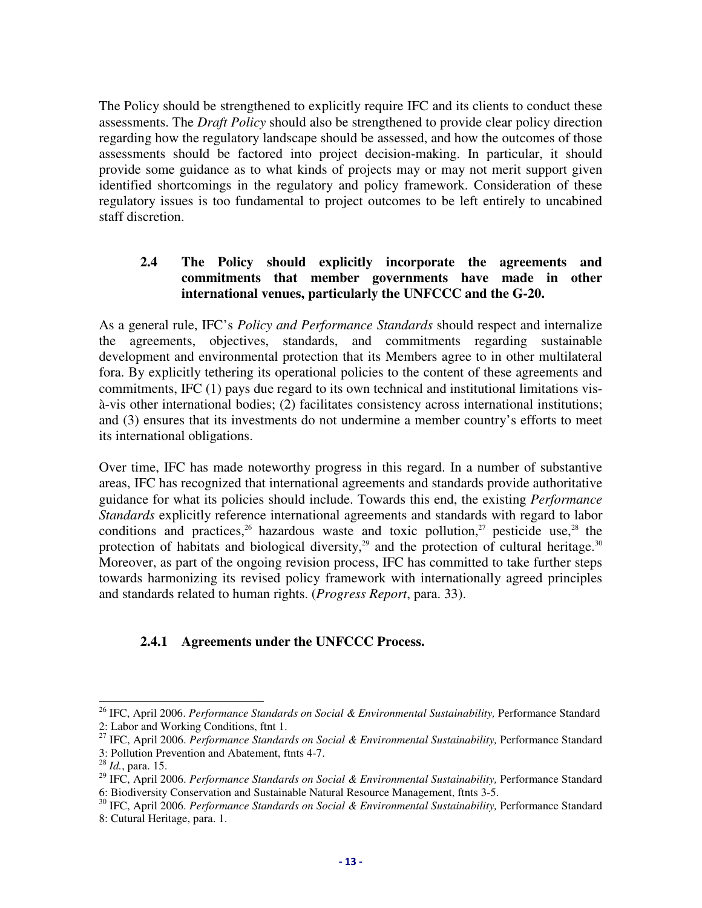The Policy should be strengthened to explicitly require IFC and its clients to conduct these assessments. The *Draft Policy* should also be strengthened to provide clear policy direction regarding how the regulatory landscape should be assessed, and how the outcomes of those assessments should be factored into project decision-making. In particular, it should provide some guidance as to what kinds of projects may or may not merit support given identified shortcomings in the regulatory and policy framework. Consideration of these regulatory issues is too fundamental to project outcomes to be left entirely to uncabined staff discretion.

### **2.4 The Policy should explicitly incorporate the agreements and commitments that member governments have made in other international venues, particularly the UNFCCC and the G-20.**

As a general rule, IFC's *Policy and Performance Standards* should respect and internalize the agreements, objectives, standards, and commitments regarding sustainable development and environmental protection that its Members agree to in other multilateral fora. By explicitly tethering its operational policies to the content of these agreements and commitments, IFC (1) pays due regard to its own technical and institutional limitations visà-vis other international bodies; (2) facilitates consistency across international institutions; and (3) ensures that its investments do not undermine a member country's efforts to meet its international obligations.

Over time, IFC has made noteworthy progress in this regard. In a number of substantive areas, IFC has recognized that international agreements and standards provide authoritative guidance for what its policies should include. Towards this end, the existing *Performance Standards* explicitly reference international agreements and standards with regard to labor conditions and practices,<sup>26</sup> hazardous waste and toxic pollution,<sup>27</sup> pesticide use,<sup>28</sup> the protection of habitats and biological diversity,<sup>29</sup> and the protection of cultural heritage.<sup>30</sup> Moreover, as part of the ongoing revision process, IFC has committed to take further steps towards harmonizing its revised policy framework with internationally agreed principles and standards related to human rights. (*Progress Report*, para. 33).

### **2.4.1 Agreements under the UNFCCC Process.**

j

<sup>&</sup>lt;sup>26</sup> IFC, April 2006. *Performance Standards on Social & Environmental Sustainability*, Performance Standard 2: Labor and Working Conditions, ftnt 1.

<sup>&</sup>lt;sup>27</sup> IFC, April 2006. *Performance Standards on Social & Environmental Sustainability*, Performance Standard 3: Pollution Prevention and Abatement, ftnts 4-7.

<sup>28</sup> *Id.*, para. 15.

<sup>&</sup>lt;sup>29</sup> IFC, April 2006. *Performance Standards on Social & Environmental Sustainability*, Performance Standard 6: Biodiversity Conservation and Sustainable Natural Resource Management, ftnts 3-5.

<sup>&</sup>lt;sup>30</sup> IFC, April 2006. *Performance Standards on Social & Environmental Sustainability*, Performance Standard 8: Cutural Heritage, para. 1.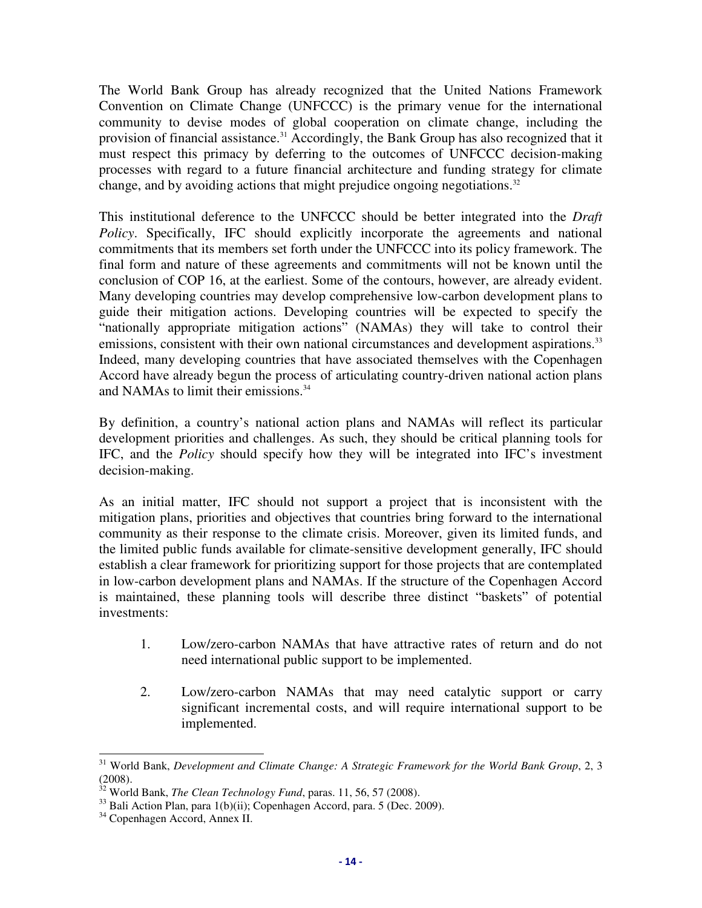The World Bank Group has already recognized that the United Nations Framework Convention on Climate Change (UNFCCC) is the primary venue for the international community to devise modes of global cooperation on climate change, including the provision of financial assistance.<sup>31</sup> Accordingly, the Bank Group has also recognized that it must respect this primacy by deferring to the outcomes of UNFCCC decision-making processes with regard to a future financial architecture and funding strategy for climate change, and by avoiding actions that might prejudice ongoing negotiations.<sup>32</sup>

This institutional deference to the UNFCCC should be better integrated into the *Draft Policy*. Specifically, IFC should explicitly incorporate the agreements and national commitments that its members set forth under the UNFCCC into its policy framework. The final form and nature of these agreements and commitments will not be known until the conclusion of COP 16, at the earliest. Some of the contours, however, are already evident. Many developing countries may develop comprehensive low-carbon development plans to guide their mitigation actions. Developing countries will be expected to specify the "nationally appropriate mitigation actions" (NAMAs) they will take to control their emissions, consistent with their own national circumstances and development aspirations.<sup>33</sup> Indeed, many developing countries that have associated themselves with the Copenhagen Accord have already begun the process of articulating country-driven national action plans and NAMAs to limit their emissions.<sup>34</sup>

By definition, a country's national action plans and NAMAs will reflect its particular development priorities and challenges. As such, they should be critical planning tools for IFC, and the *Policy* should specify how they will be integrated into IFC's investment decision-making.

As an initial matter, IFC should not support a project that is inconsistent with the mitigation plans, priorities and objectives that countries bring forward to the international community as their response to the climate crisis. Moreover, given its limited funds, and the limited public funds available for climate-sensitive development generally, IFC should establish a clear framework for prioritizing support for those projects that are contemplated in low-carbon development plans and NAMAs. If the structure of the Copenhagen Accord is maintained, these planning tools will describe three distinct "baskets" of potential investments:

- 1. Low/zero-carbon NAMAs that have attractive rates of return and do not need international public support to be implemented.
- 2. Low/zero-carbon NAMAs that may need catalytic support or carry significant incremental costs, and will require international support to be implemented.

<sup>-</sup><sup>31</sup> World Bank, *Development and Climate Change: A Strategic Framework for the World Bank Group*, 2, 3 (2008).

<sup>32</sup> World Bank, *The Clean Technology Fund*, paras. 11, 56, 57 (2008).

 $33$  Bali Action Plan, para 1(b)(ii); Copenhagen Accord, para. 5 (Dec. 2009).

<sup>&</sup>lt;sup>34</sup> Copenhagen Accord, Annex II.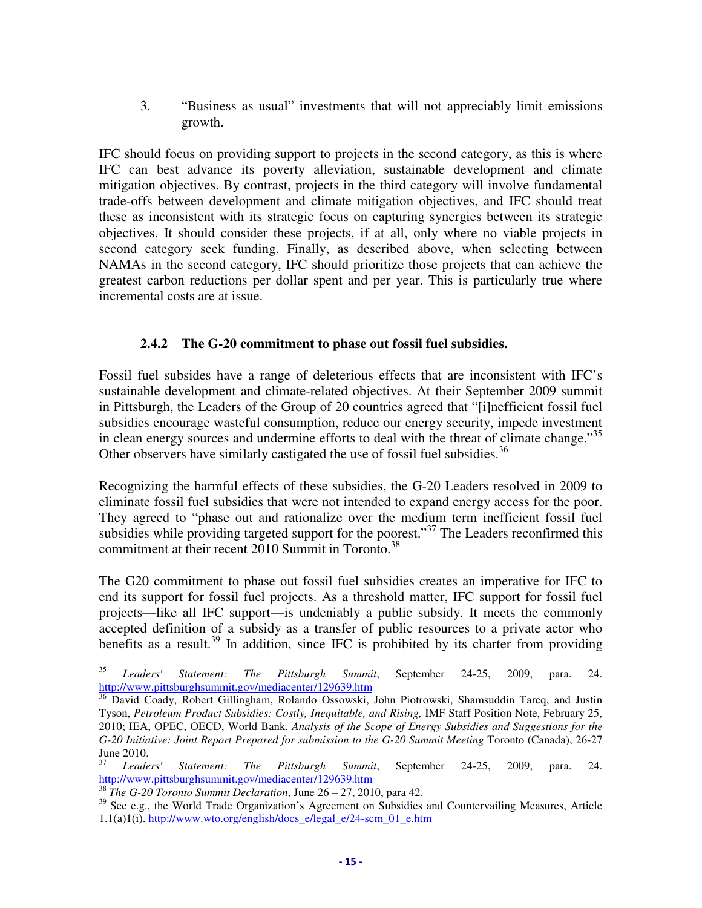3. "Business as usual" investments that will not appreciably limit emissions growth.

IFC should focus on providing support to projects in the second category, as this is where IFC can best advance its poverty alleviation, sustainable development and climate mitigation objectives. By contrast, projects in the third category will involve fundamental trade-offs between development and climate mitigation objectives, and IFC should treat these as inconsistent with its strategic focus on capturing synergies between its strategic objectives. It should consider these projects, if at all, only where no viable projects in second category seek funding. Finally, as described above, when selecting between NAMAs in the second category, IFC should prioritize those projects that can achieve the greatest carbon reductions per dollar spent and per year. This is particularly true where incremental costs are at issue.

### **2.4.2 The G-20 commitment to phase out fossil fuel subsidies.**

Fossil fuel subsides have a range of deleterious effects that are inconsistent with IFC's sustainable development and climate-related objectives. At their September 2009 summit in Pittsburgh, the Leaders of the Group of 20 countries agreed that "[i]nefficient fossil fuel subsidies encourage wasteful consumption, reduce our energy security, impede investment in clean energy sources and undermine efforts to deal with the threat of climate change."<sup>35</sup> Other observers have similarly castigated the use of fossil fuel subsidies.<sup>36</sup>

Recognizing the harmful effects of these subsidies, the G-20 Leaders resolved in 2009 to eliminate fossil fuel subsidies that were not intended to expand energy access for the poor. They agreed to "phase out and rationalize over the medium term inefficient fossil fuel subsidies while providing targeted support for the poorest."<sup>37</sup> The Leaders reconfirmed this commitment at their recent 2010 Summit in Toronto.<sup>38</sup>

The G20 commitment to phase out fossil fuel subsidies creates an imperative for IFC to end its support for fossil fuel projects. As a threshold matter, IFC support for fossil fuel projects—like all IFC support—is undeniably a public subsidy. It meets the commonly accepted definition of a subsidy as a transfer of public resources to a private actor who benefits as a result.<sup>39</sup> In addition, since IFC is prohibited by its charter from providing

<sup>35</sup> <sup>35</sup> *Leaders' Statement: The Pittsburgh Summit*, September 24-25, 2009, para. 24. http://www.pittsburghsummit.gov/mediacenter/129639.htm

<sup>&</sup>lt;sup>36</sup> David Coady, Robert Gillingham, Rolando Ossowski, John Piotrowski, Shamsuddin Tareq, and Justin Tyson, *Petroleum Product Subsidies: Costly, Inequitable, and Rising,* IMF Staff Position Note, February 25, 2010; IEA, OPEC, OECD, World Bank, *Analysis of the Scope of Energy Subsidies and Suggestions for the G-20 Initiative: Joint Report Prepared for submission to the G-20 Summit Meeting* Toronto (Canada), 26-27 June 2010.

<sup>37</sup> *Leaders' Statement: The Pittsburgh Summit*, September 24-25, 2009, para. 24. http://www.pittsburghsummit.gov/mediacenter/129639.htm

<sup>38</sup> *The G-20 Toronto Summit Declaration*, June 26 – 27, 2010, para 42.

<sup>&</sup>lt;sup>39</sup> See e.g., the World Trade Organization's Agreement on Subsidies and Countervailing Measures, Article 1.1(a)1(i). http://www.wto.org/english/docs\_e/legal\_e/24-scm\_01\_e.htm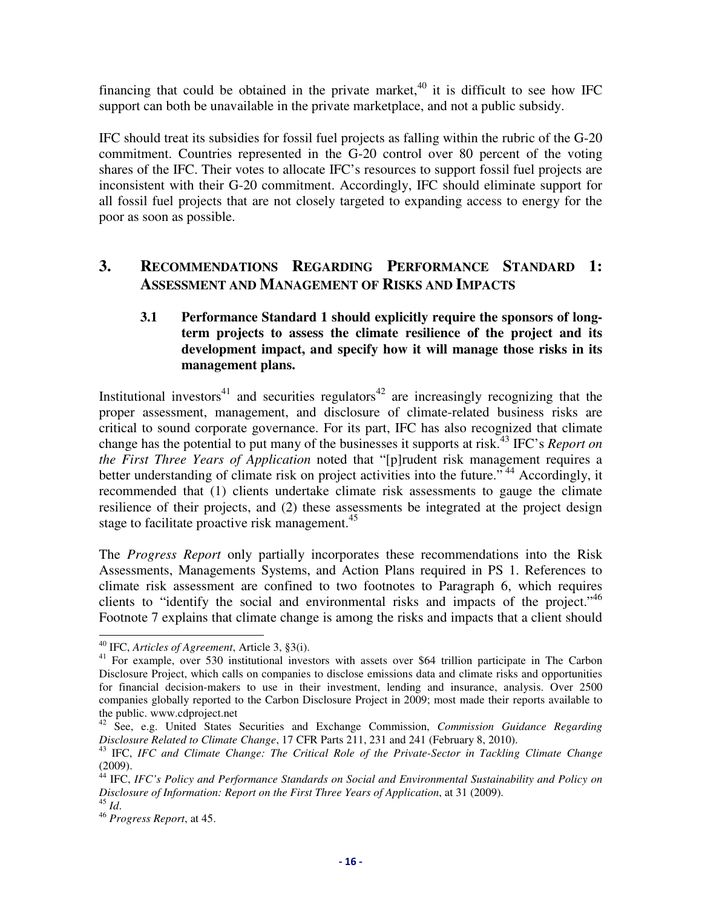financing that could be obtained in the private market, $40$  it is difficult to see how IFC support can both be unavailable in the private marketplace, and not a public subsidy.

IFC should treat its subsidies for fossil fuel projects as falling within the rubric of the G-20 commitment. Countries represented in the G-20 control over 80 percent of the voting shares of the IFC. Their votes to allocate IFC's resources to support fossil fuel projects are inconsistent with their G-20 commitment. Accordingly, IFC should eliminate support for all fossil fuel projects that are not closely targeted to expanding access to energy for the poor as soon as possible.

## **3. RECOMMENDATIONS REGARDING PERFORMANCE STANDARD 1: ASSESSMENT AND MANAGEMENT OF RISKS AND IMPACTS**

### **3.1 Performance Standard 1 should explicitly require the sponsors of longterm projects to assess the climate resilience of the project and its development impact, and specify how it will manage those risks in its management plans.**

Institutional investors<sup>41</sup> and securities regulators<sup>42</sup> are increasingly recognizing that the proper assessment, management, and disclosure of climate-related business risks are critical to sound corporate governance. For its part, IFC has also recognized that climate change has the potential to put many of the businesses it supports at risk.<sup>43</sup> IFC's *Report on the First Three Years of Application* noted that "[p]rudent risk management requires a better understanding of climate risk on project activities into the future."<sup>44</sup> Accordingly, it recommended that (1) clients undertake climate risk assessments to gauge the climate resilience of their projects, and (2) these assessments be integrated at the project design stage to facilitate proactive risk management.<sup>45</sup>

The *Progress Report* only partially incorporates these recommendations into the Risk Assessments, Managements Systems, and Action Plans required in PS 1. References to climate risk assessment are confined to two footnotes to Paragraph 6, which requires clients to "identify the social and environmental risks and impacts of the project."<sup>46</sup> Footnote 7 explains that climate change is among the risks and impacts that a client should

<sup>-</sup><sup>40</sup> IFC, *Articles of Agreement*, Article 3, §3(i).

<sup>&</sup>lt;sup>41</sup> For example, over 530 institutional investors with assets over \$64 trillion participate in The Carbon Disclosure Project, which calls on companies to disclose emissions data and climate risks and opportunities for financial decision-makers to use in their investment, lending and insurance, analysis. Over 2500 companies globally reported to the Carbon Disclosure Project in 2009; most made their reports available to the public. www.cdproject.net

<sup>42</sup> See, e.g. United States Securities and Exchange Commission, *Commission Guidance Regarding Disclosure Related to Climate Change*, 17 CFR Parts 211, 231 and 241 (February 8, 2010).

<sup>43</sup> IFC, *IFC and Climate Change: The Critical Role of the Private-Sector in Tackling Climate Change* (2009).

<sup>&</sup>lt;sup>44</sup> IFC, *IFC's Policy and Performance Standards on Social and Environmental Sustainability and Policy on Disclosure of Information: Report on the First Three Years of Application*, at 31 (2009).

<sup>45</sup> *Id*.

<sup>46</sup> *Progress Report*, at 45.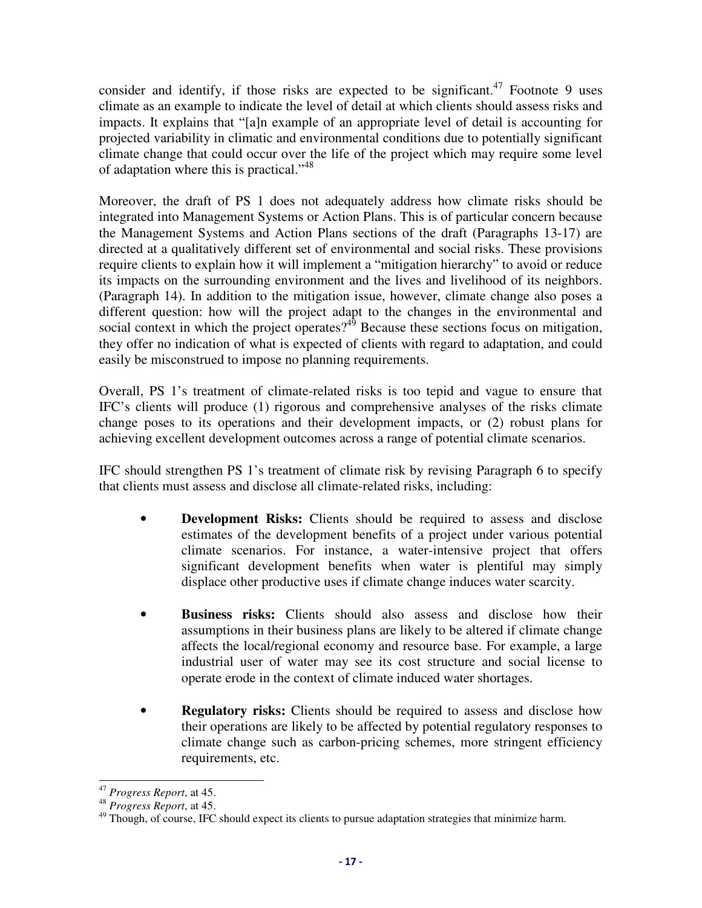consider and identify, if those risks are expected to be significant.<sup>47</sup> Footnote 9 uses climate as an example to indicate the level of detail at which clients should assess risks and impacts. It explains that "[a]n example of an appropriate level of detail is accounting for projected variability in climatic and environmental conditions due to potentially significant climate change that could occur over the life of the project which may require some level of adaptation where this is practical."<sup>48</sup>

Moreover, the draft of PS 1 does not adequately address how climate risks should be integrated into Management Systems or Action Plans. This is of particular concern because the Management Systems and Action Plans sections of the draft (Paragraphs 13-17) are directed at a qualitatively different set of environmental and social risks. These provisions require clients to explain how it will implement a "mitigation hierarchy" to avoid or reduce its impacts on the surrounding environment and the lives and livelihood of its neighbors. (Paragraph 14). In addition to the mitigation issue, however, climate change also poses a different question: how will the project adapt to the changes in the environmental and social context in which the project operates?<sup>49</sup> Because these sections focus on mitigation, they offer no indication of what is expected of clients with regard to adaptation, and could easily be misconstrued to impose no planning requirements.

Overall, PS 1's treatment of climate-related risks is too tepid and vague to ensure that IFC's clients will produce (1) rigorous and comprehensive analyses of the risks climate change poses to its operations and their development impacts, or (2) robust plans for achieving excellent development outcomes across a range of potential climate scenarios.

IFC should strengthen PS 1's treatment of climate risk by revising Paragraph 6 to specify that clients must assess and disclose all climate-related risks, including:

- **Development Risks:** Clients should be required to assess and disclose estimates of the development benefits of a project under various potential climate scenarios. For instance, a water-intensive project that offers significant development benefits when water is plentiful may simply displace other productive uses if climate change induces water scarcity.
- **Business risks:** Clients should also assess and disclose how their assumptions in their business plans are likely to be altered if climate change affects the local/regional economy and resource base. For example, a large industrial user of water may see its cost structure and social license to operate erode in the context of climate induced water shortages.
- **Regulatory risks:** Clients should be required to assess and disclose how their operations are likely to be affected by potential regulatory responses to climate change such as carbon-pricing schemes, more stringent efficiency requirements, etc.

j <sup>47</sup> *Progress Report*, at 45.

<sup>48</sup> *Progress Report*, at 45.

<sup>&</sup>lt;sup>49</sup> Though, of course, IFC should expect its clients to pursue adaptation strategies that minimize harm.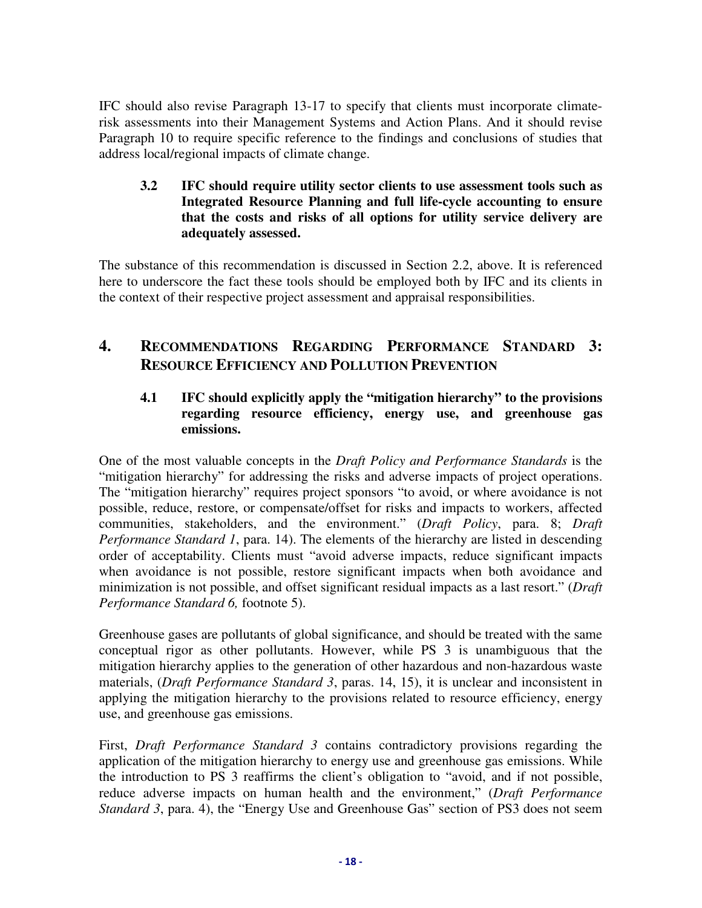IFC should also revise Paragraph 13-17 to specify that clients must incorporate climaterisk assessments into their Management Systems and Action Plans. And it should revise Paragraph 10 to require specific reference to the findings and conclusions of studies that address local/regional impacts of climate change.

#### **3.2 IFC should require utility sector clients to use assessment tools such as Integrated Resource Planning and full life-cycle accounting to ensure that the costs and risks of all options for utility service delivery are adequately assessed.**

The substance of this recommendation is discussed in Section 2.2, above. It is referenced here to underscore the fact these tools should be employed both by IFC and its clients in the context of their respective project assessment and appraisal responsibilities.

## **4. RECOMMENDATIONS REGARDING PERFORMANCE STANDARD 3: RESOURCE EFFICIENCY AND POLLUTION PREVENTION**

### **4.1 IFC should explicitly apply the "mitigation hierarchy" to the provisions regarding resource efficiency, energy use, and greenhouse gas emissions.**

One of the most valuable concepts in the *Draft Policy and Performance Standards* is the "mitigation hierarchy" for addressing the risks and adverse impacts of project operations. The "mitigation hierarchy" requires project sponsors "to avoid, or where avoidance is not possible, reduce, restore, or compensate/offset for risks and impacts to workers, affected communities, stakeholders, and the environment." (*Draft Policy*, para. 8; *Draft Performance Standard 1*, para. 14). The elements of the hierarchy are listed in descending order of acceptability. Clients must "avoid adverse impacts, reduce significant impacts when avoidance is not possible, restore significant impacts when both avoidance and minimization is not possible, and offset significant residual impacts as a last resort." (*Draft Performance Standard 6,* footnote 5).

Greenhouse gases are pollutants of global significance, and should be treated with the same conceptual rigor as other pollutants. However, while PS 3 is unambiguous that the mitigation hierarchy applies to the generation of other hazardous and non-hazardous waste materials, (*Draft Performance Standard 3*, paras. 14, 15), it is unclear and inconsistent in applying the mitigation hierarchy to the provisions related to resource efficiency, energy use, and greenhouse gas emissions.

First, *Draft Performance Standard 3* contains contradictory provisions regarding the application of the mitigation hierarchy to energy use and greenhouse gas emissions. While the introduction to PS 3 reaffirms the client's obligation to "avoid, and if not possible, reduce adverse impacts on human health and the environment," (*Draft Performance Standard 3*, para. 4), the "Energy Use and Greenhouse Gas" section of PS3 does not seem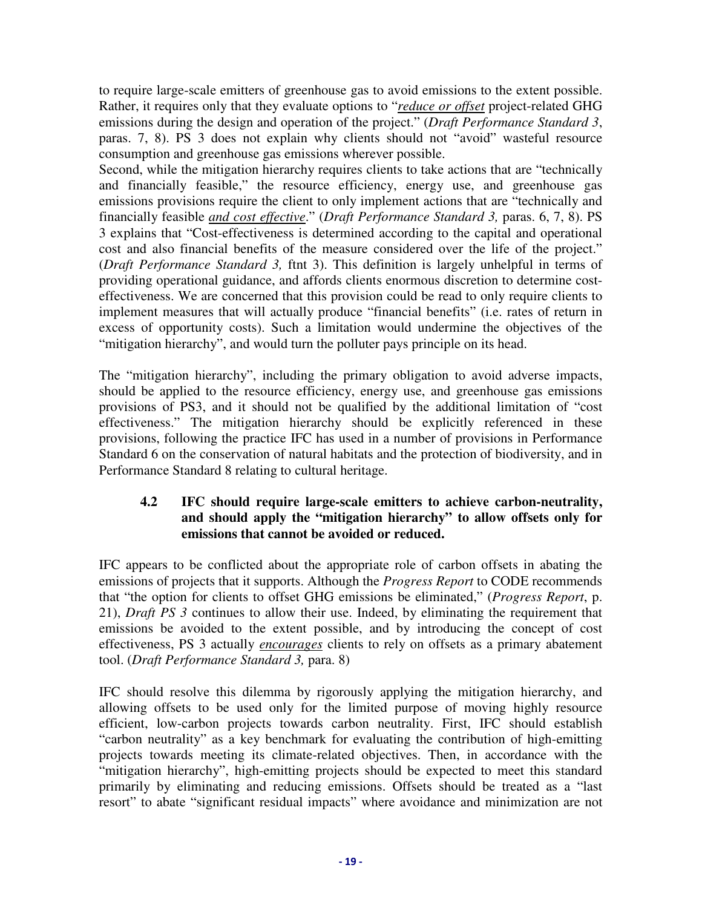to require large-scale emitters of greenhouse gas to avoid emissions to the extent possible. Rather, it requires only that they evaluate options to "*reduce or offset* project-related GHG emissions during the design and operation of the project." (*Draft Performance Standard 3*, paras. 7, 8). PS 3 does not explain why clients should not "avoid" wasteful resource consumption and greenhouse gas emissions wherever possible.

Second, while the mitigation hierarchy requires clients to take actions that are "technically and financially feasible," the resource efficiency, energy use, and greenhouse gas emissions provisions require the client to only implement actions that are "technically and financially feasible *and cost effective*." (*Draft Performance Standard 3,* paras. 6, 7, 8). PS 3 explains that "Cost-effectiveness is determined according to the capital and operational cost and also financial benefits of the measure considered over the life of the project." (*Draft Performance Standard 3,* ftnt 3). This definition is largely unhelpful in terms of providing operational guidance, and affords clients enormous discretion to determine costeffectiveness. We are concerned that this provision could be read to only require clients to implement measures that will actually produce "financial benefits" (i.e. rates of return in excess of opportunity costs). Such a limitation would undermine the objectives of the "mitigation hierarchy", and would turn the polluter pays principle on its head.

The "mitigation hierarchy", including the primary obligation to avoid adverse impacts, should be applied to the resource efficiency, energy use, and greenhouse gas emissions provisions of PS3, and it should not be qualified by the additional limitation of "cost effectiveness." The mitigation hierarchy should be explicitly referenced in these provisions, following the practice IFC has used in a number of provisions in Performance Standard 6 on the conservation of natural habitats and the protection of biodiversity, and in Performance Standard 8 relating to cultural heritage.

### **4.2 IFC should require large-scale emitters to achieve carbon-neutrality, and should apply the "mitigation hierarchy" to allow offsets only for emissions that cannot be avoided or reduced.**

IFC appears to be conflicted about the appropriate role of carbon offsets in abating the emissions of projects that it supports. Although the *Progress Report* to CODE recommends that "the option for clients to offset GHG emissions be eliminated," (*Progress Report*, p. 21), *Draft PS 3* continues to allow their use. Indeed, by eliminating the requirement that emissions be avoided to the extent possible, and by introducing the concept of cost effectiveness, PS 3 actually *encourages* clients to rely on offsets as a primary abatement tool. (*Draft Performance Standard 3,* para. 8)

IFC should resolve this dilemma by rigorously applying the mitigation hierarchy, and allowing offsets to be used only for the limited purpose of moving highly resource efficient, low-carbon projects towards carbon neutrality. First, IFC should establish "carbon neutrality" as a key benchmark for evaluating the contribution of high-emitting projects towards meeting its climate-related objectives. Then, in accordance with the "mitigation hierarchy", high-emitting projects should be expected to meet this standard primarily by eliminating and reducing emissions. Offsets should be treated as a "last resort" to abate "significant residual impacts" where avoidance and minimization are not